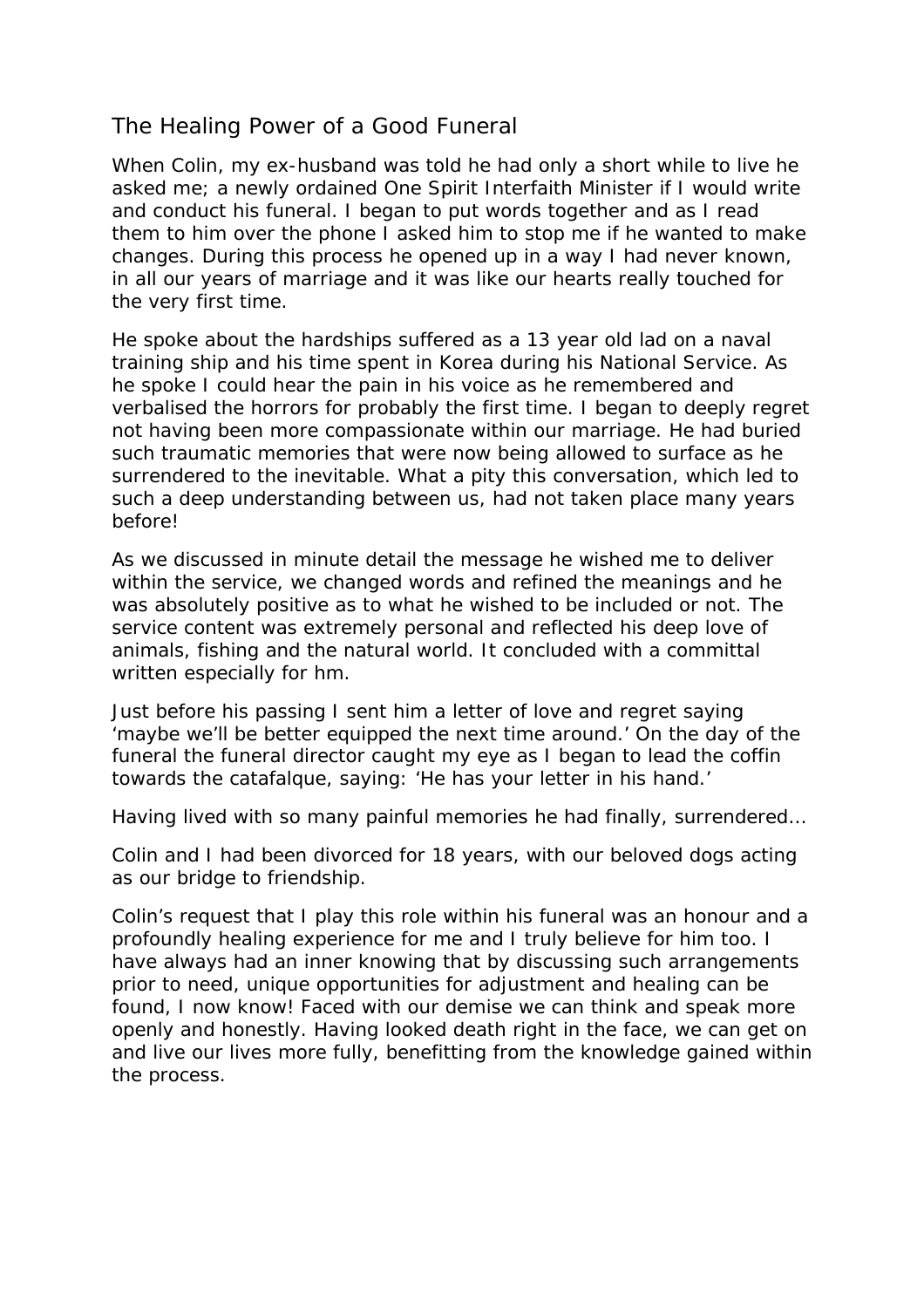# The Healing Power of a Good Funeral

When Colin, my ex-husband was told he had only a short while to live he asked me; a newly ordained One Spirit Interfaith Minister if I would write and conduct his funeral. I began to put words together and as I read them to him over the phone I asked him to stop me if he wanted to make changes. During this process he opened up in a way I had never known, in all our years of marriage and it was like our hearts really touched for the very first time.

He spoke about the hardships suffered as a 13 year old lad on a naval training ship and his time spent in Korea during his National Service. As he spoke I could hear the pain in his voice as he remembered and verbalised the horrors for probably the first time. I began to deeply regret not having been more compassionate within our marriage. He had buried such traumatic memories that were now being allowed to surface as he surrendered to the inevitable. What a pity this conversation, which led to such a deep understanding between us, had not taken place many years before!

As we discussed in minute detail the message he wished me to deliver within the service, we changed words and refined the meanings and he was absolutely positive as to what he wished to be included or not. The service content was extremely personal and reflected his deep love of animals, fishing and the natural world. It concluded with a committal written especially for hm.

Just before his passing I sent him a letter of love and regret saying 'maybe we'll be better equipped the next time around.' On the day of the funeral the funeral director caught my eye as I began to lead the coffin towards the catafalque, saying: 'He has your letter in his hand.'

Having lived with so many painful memories he had finally, surrendered…

Colin and I had been divorced for 18 years, with our beloved dogs acting as our bridge to friendship.

Colin's request that I play this role within his funeral was an honour and a profoundly healing experience for me and I truly believe for him too. I have always had an inner knowing that by discussing such arrangements prior to need, unique opportunities for adjustment and healing can be found, I now know! Faced with our demise we can think and speak more openly and honestly. Having looked death right in the face, we can get on and live our lives more fully, benefitting from the knowledge gained within the process.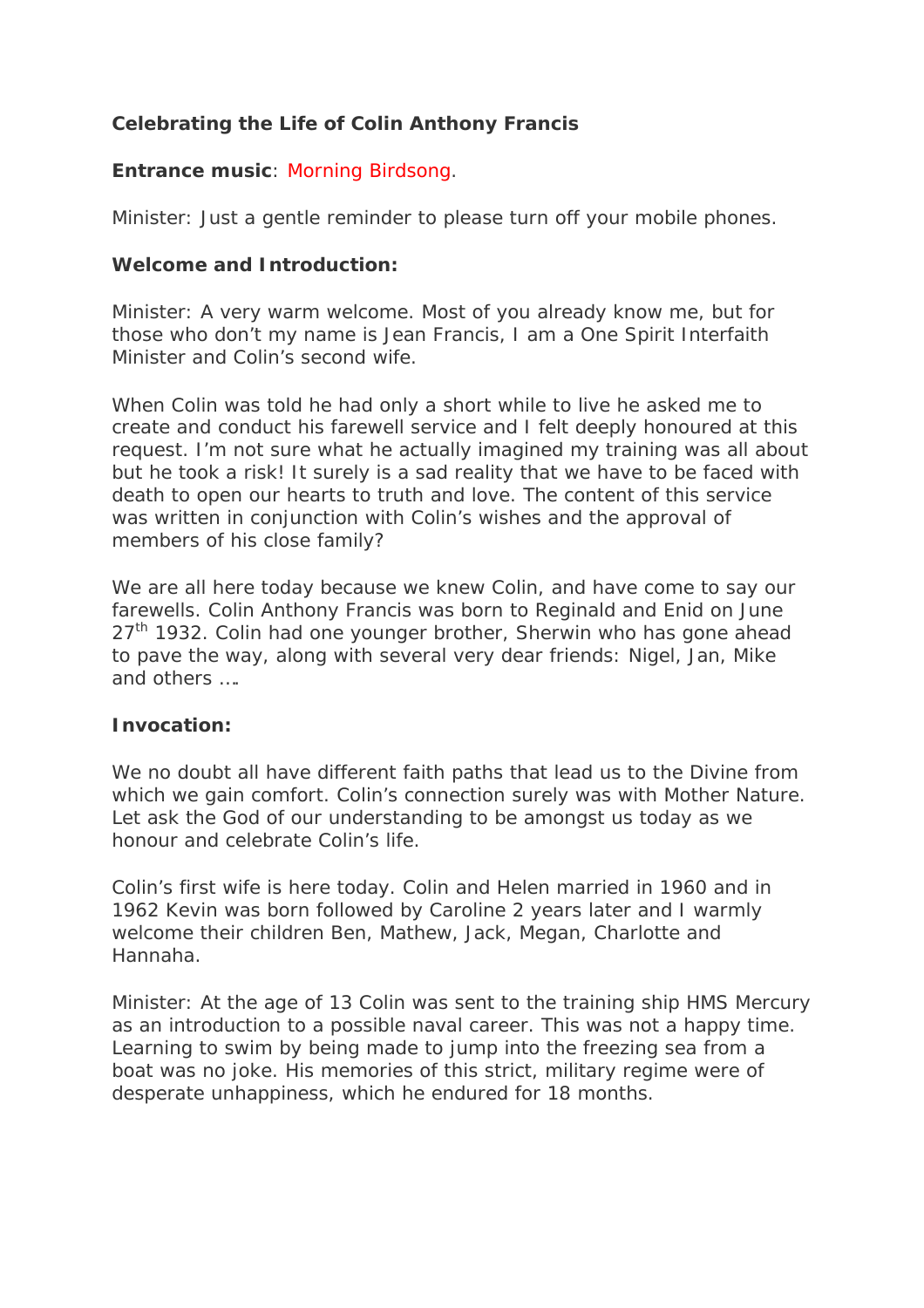## **Celebrating the Life of Colin Anthony Francis**

## **Entrance music**: Morning Birdsong.

Minister: Just a gentle reminder to please turn off your mobile phones.

#### **Welcome and Introduction:**

Minister: A very warm welcome. Most of you already know me, but for those who don't my name is Jean Francis, I am a One Spirit Interfaith Minister and Colin's second wife.

When Colin was told he had only a short while to live he asked me to create and conduct his farewell service and I felt deeply honoured at this request. I'm not sure what he actually imagined my training was all about but he took a risk! It surely is a sad reality that we have to be faced with death to open our hearts to truth and love. The content of this service was written in conjunction with Colin's wishes and the approval of members of his close family?

We are all here today because we knew Colin, and have come to say our farewells. Colin Anthony Francis was born to Reginald and Enid on June  $27<sup>th</sup>$  1932. Colin had one younger brother, Sherwin who has gone ahead to pave the way, along with several very dear friends: Nigel, Jan, Mike and others ….

#### **Invocation:**

We no doubt all have different faith paths that lead us to the Divine from which we gain comfort. Colin's connection surely was with Mother Nature. Let ask the God of our understanding to be amongst us today as we honour and celebrate Colin's life.

Colin's first wife is here today. Colin and Helen married in 1960 and in 1962 Kevin was born followed by Caroline 2 years later and I warmly welcome their children Ben, Mathew, Jack, Megan, Charlotte and Hannaha.

Minister: At the age of 13 Colin was sent to the training ship HMS Mercury as an introduction to a possible naval career. This was not a happy time. Learning to swim by being made to jump into the freezing sea from a boat was no joke. His memories of this strict, military regime were of desperate unhappiness, which he endured for 18 months.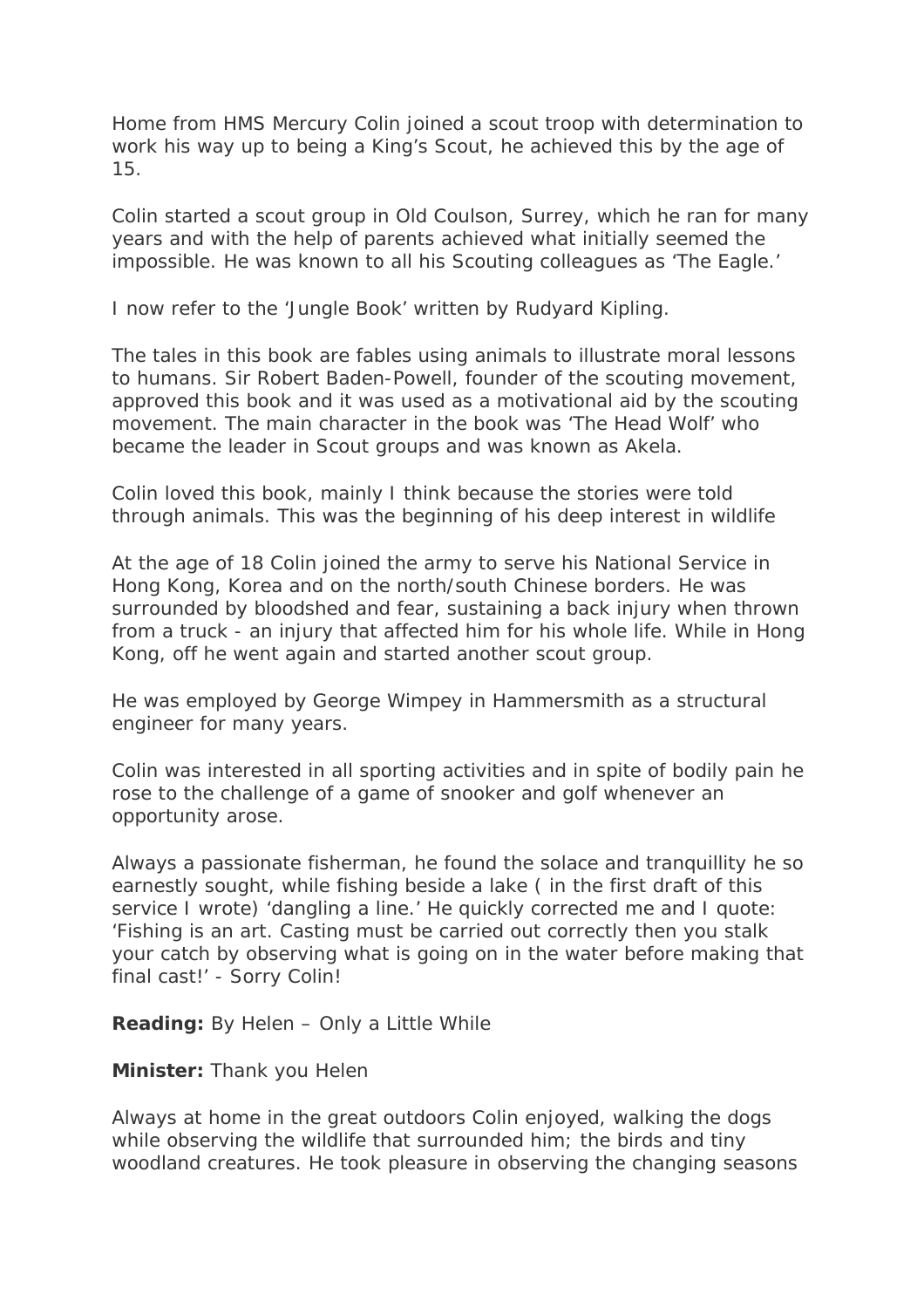Home from HMS Mercury Colin joined a scout troop with determination to work his way up to being a King's Scout, he achieved this by the age of 15.

Colin started a scout group in Old Coulson, Surrey, which he ran for many years and with the help of parents achieved what initially seemed the impossible. He was known to all his Scouting colleagues as 'The Eagle.'

I now refer to the 'Jungle Book' written by Rudyard Kipling.

The tales in this book are fables using animals to illustrate moral lessons to humans. Sir Robert Baden-Powell, founder of the scouting movement, approved this book and it was used as a motivational aid by the scouting movement. The main character in the book was 'The Head Wolf' who became the leader in Scout groups and was known as Akela.

Colin loved this book, mainly I think because the stories were told through animals. This was the beginning of his deep interest in wildlife

At the age of 18 Colin joined the army to serve his National Service in Hong Kong, Korea and on the north/south Chinese borders. He was surrounded by bloodshed and fear, sustaining a back injury when thrown from a truck - an injury that affected him for his whole life. While in Hong Kong, off he went again and started another scout group.

He was employed by George Wimpey in Hammersmith as a structural engineer for many years.

Colin was interested in all sporting activities and in spite of bodily pain he rose to the challenge of a game of snooker and golf whenever an opportunity arose.

Always a passionate fisherman, he found the solace and tranquillity he so earnestly sought, while fishing beside a lake ( in the first draft of this service I wrote) 'dangling a line.' He quickly corrected me and I quote: 'Fishing is an art. Casting must be carried out correctly then you stalk your catch by observing what is going on in the water before making that final cast!' - Sorry Colin!

**Reading:** By Helen – Only a Little While

**Minister:** Thank you Helen

Always at home in the great outdoors Colin enjoyed, walking the dogs while observing the wildlife that surrounded him; the birds and tiny woodland creatures. He took pleasure in observing the changing seasons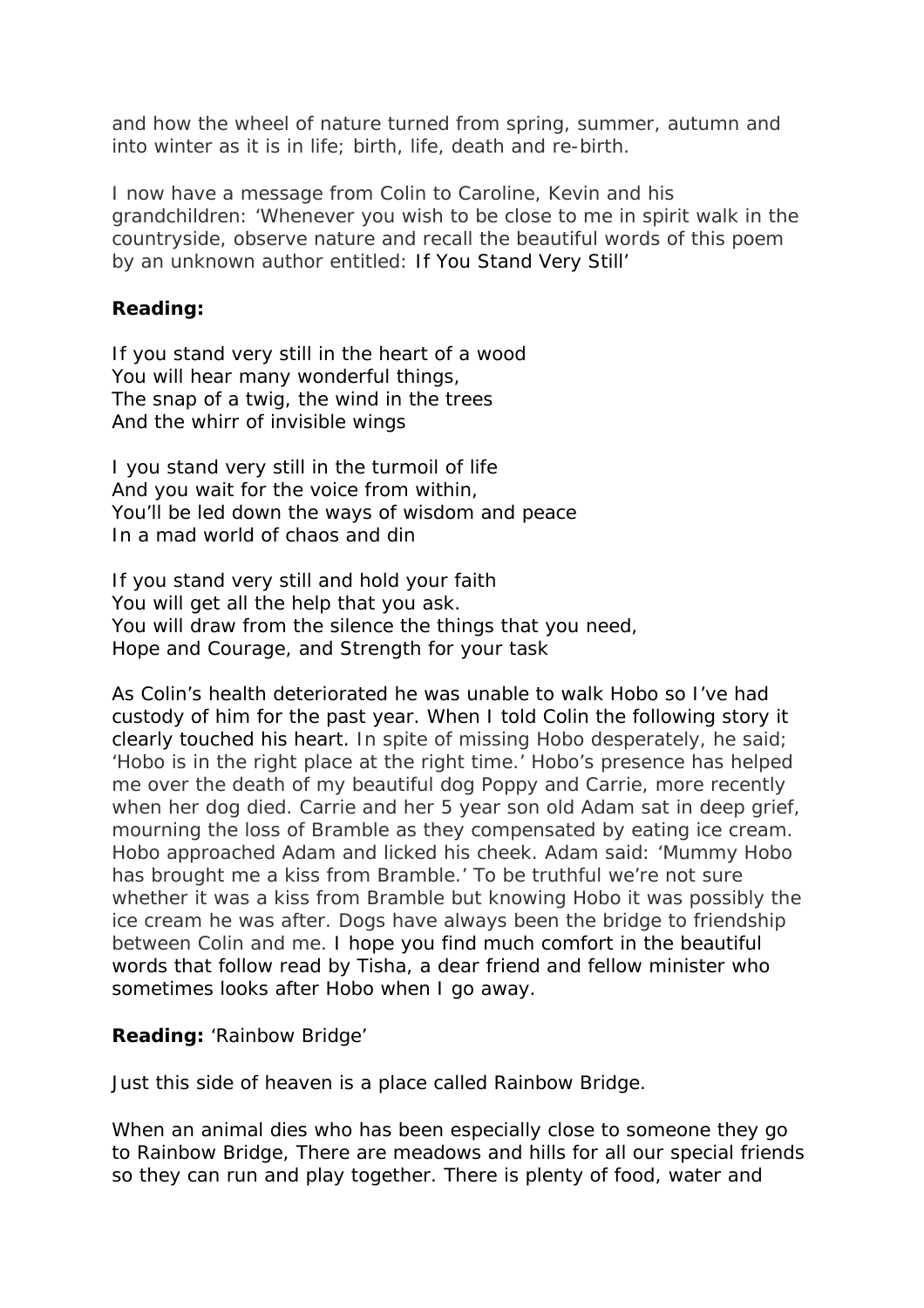and how the wheel of nature turned from spring, summer, autumn and into winter as it is in life; birth, life, death and re-birth.

I now have a message from Colin to Caroline, Kevin and his grandchildren: 'Whenever you wish to be close to me in spirit walk in the countryside, observe nature and recall the beautiful words of this poem by an unknown author entitled: If You Stand Very Still'

## **Reading:**

If you stand very still in the heart of a wood You will hear many wonderful things, The snap of a twig, the wind in the trees And the whirr of invisible wings

I you stand very still in the turmoil of life And you wait for the voice from within, You'll be led down the ways of wisdom and peace In a mad world of chaos and din

If you stand very still and hold your faith You will get all the help that you ask. You will draw from the silence the things that you need, Hope and Courage, and Strength for your task

As Colin's health deteriorated he was unable to walk Hobo so I've had custody of him for the past year. When I told Colin the following story it clearly touched his heart. In spite of missing Hobo desperately, he said; 'Hobo is in the right place at the right time.' Hobo's presence has helped me over the death of my beautiful dog Poppy and Carrie, more recently when her dog died. Carrie and her 5 year son old Adam sat in deep grief, mourning the loss of Bramble as they compensated by eating ice cream. Hobo approached Adam and licked his cheek. Adam said: 'Mummy Hobo has brought me a kiss from Bramble.' To be truthful we're not sure whether it was a kiss from Bramble but knowing Hobo it was possibly the ice cream he was after. Dogs have always been the bridge to friendship between Colin and me. I hope you find much comfort in the beautiful words that follow read by Tisha, a dear friend and fellow minister who sometimes looks after Hobo when I go away.

#### **Reading:** 'Rainbow Bridge'

Just this side of heaven is a place called Rainbow Bridge.

When an animal dies who has been especially close to someone they go to Rainbow Bridge, There are meadows and hills for all our special friends so they can run and play together. There is plenty of food, water and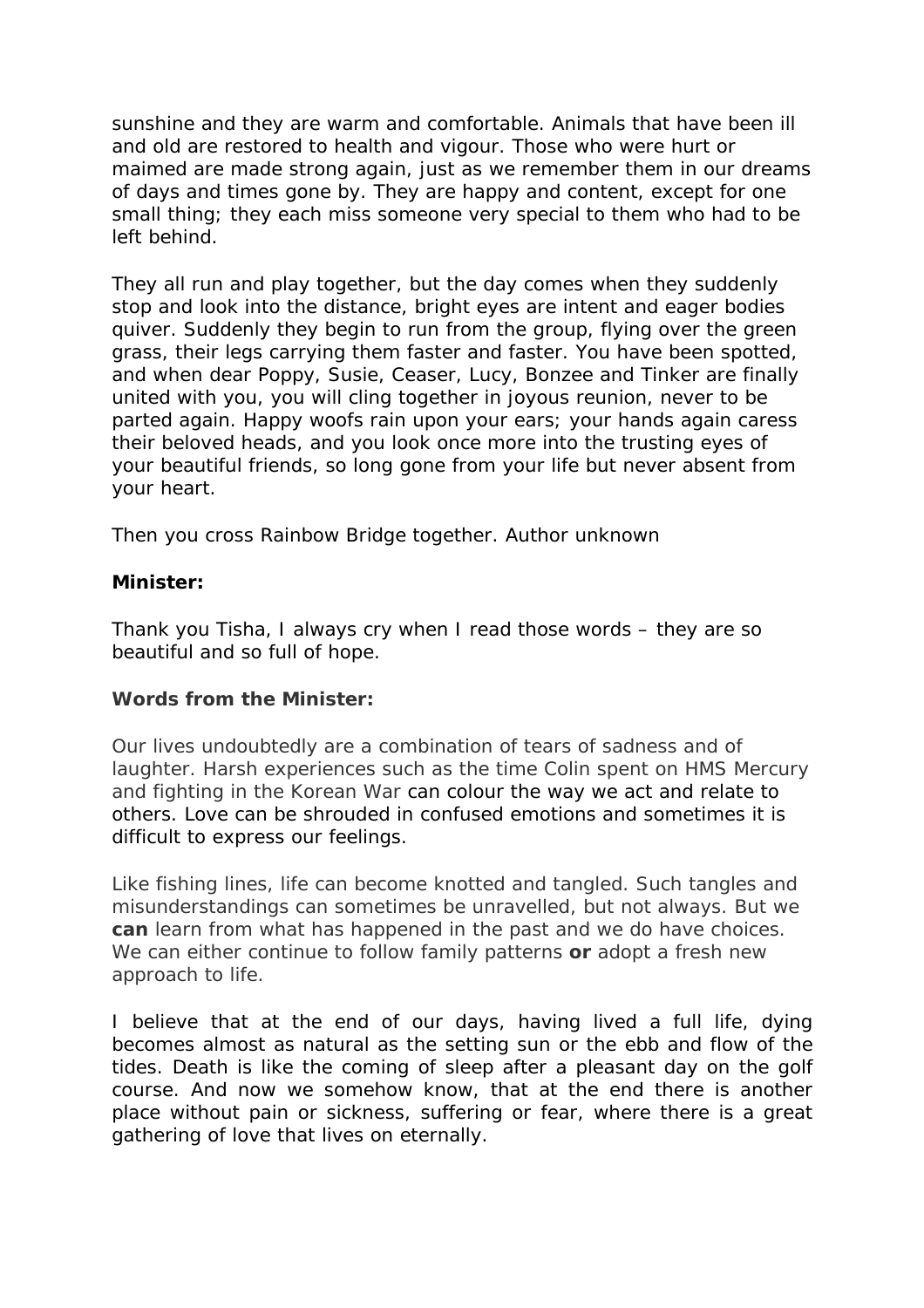sunshine and they are warm and comfortable. Animals that have been ill and old are restored to health and vigour. Those who were hurt or maimed are made strong again, just as we remember them in our dreams of days and times gone by. They are happy and content, except for one small thing; they each miss someone very special to them who had to be left behind.

They all run and play together, but the day comes when they suddenly stop and look into the distance, bright eyes are intent and eager bodies quiver. Suddenly they begin to run from the group, flying over the green grass, their legs carrying them faster and faster. You have been spotted, and when dear Poppy, Susie, Ceaser, Lucy, Bonzee and Tinker are finally united with you, you will cling together in joyous reunion, never to be parted again. Happy woofs rain upon your ears; your hands again caress their beloved heads, and you look once more into the trusting eyes of your beautiful friends, so long gone from your life but never absent from your heart.

Then you cross Rainbow Bridge together. Author unknown

## **Minister:**

Thank you Tisha, I always cry when I read those words – they are so beautiful and so full of hope.

## **Words from the Minister:**

Our lives undoubtedly are a combination of tears of sadness and of laughter. Harsh experiences such as the time Colin spent on HMS Mercury and fighting in the Korean War can colour the way we act and relate to others. Love can be shrouded in confused emotions and sometimes it is difficult to express our feelings.

Like fishing lines, life can become knotted and tangled. Such tangles and misunderstandings can sometimes be unravelled, but not always. But we **can** learn from what has happened in the past and we do have choices. We can either continue to follow family patterns **or** adopt a fresh new approach to life.

I believe that at the end of our days, having lived a full life, dying becomes almost as natural as the setting sun or the ebb and flow of the tides. Death is like the coming of sleep after a pleasant day on the golf course. And now we somehow know, that at the end there is another place without pain or sickness, suffering or fear, where there is a great gathering of love that lives on eternally.